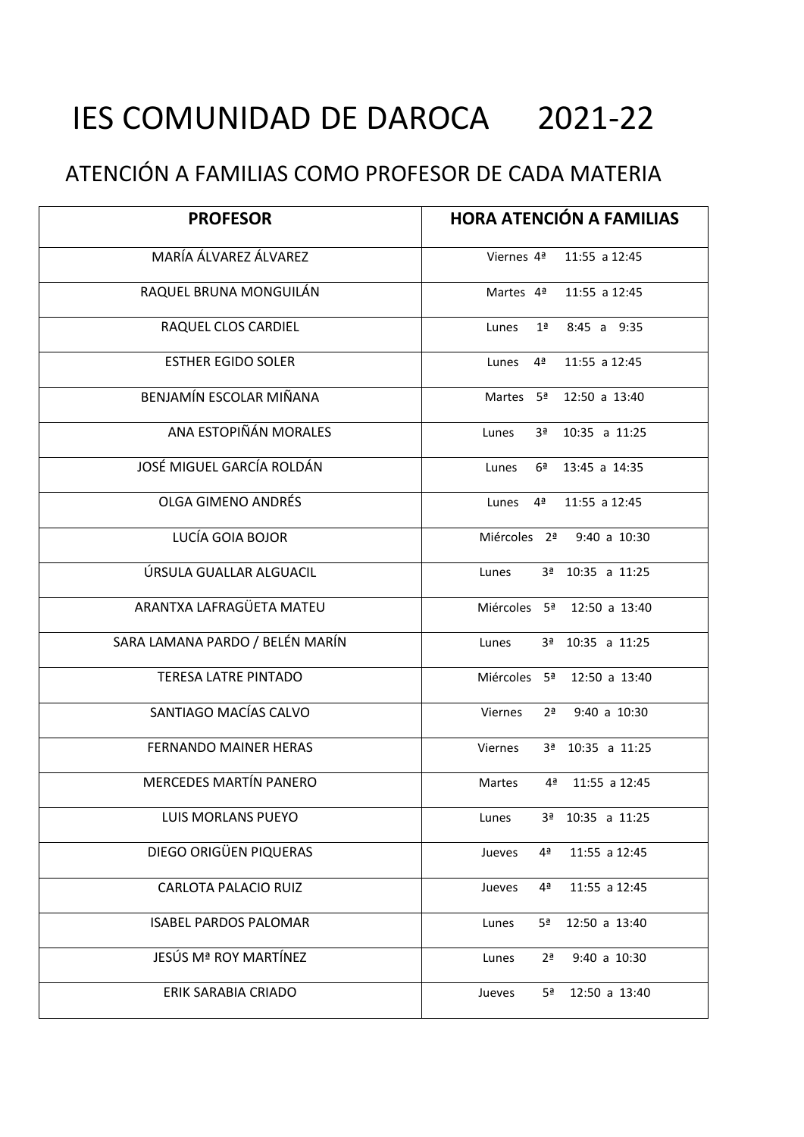## IES COMUNIDAD DE DAROCA 2021-22

## ATENCIÓN A FAMILIAS COMO PROFESOR DE CADA MATERIA

| <b>PROFESOR</b>                 | <b>HORA ATENCIÓN A FAMILIAS</b>            |
|---------------------------------|--------------------------------------------|
| MARÍA ÁLVAREZ ÁLVAREZ           | Viernes 4 <sup>ª</sup> 11:55 a 12:45       |
| RAQUEL BRUNA MONGUILÁN          | Martes 4 <sup>ª</sup> 11:55 a 12:45        |
| RAQUEL CLOS CARDIEL             | $1a$ 8:45 a 9:35<br>Lunes                  |
| <b>ESTHER EGIDO SOLER</b>       | 4 <sup>a</sup> 11:55 a 12:45<br>Lunes      |
| BENJAMÍN ESCOLAR MIÑANA         | Martes 5 <sup>ª</sup> 12:50 a 13:40        |
| ANA ESTOPIÑÁN MORALES           | 3ª 10:35 a 11:25<br>Lunes                  |
| JOSÉ MIGUEL GARCÍA ROLDÁN       | $6^{\underline{a}}$ 13:45 a 14:35<br>Lunes |
| OLGA GIMENO ANDRÉS              | 4 <sup>a</sup> 11:55 a 12:45<br>Lunes      |
| LUCÍA GOIA BOJOR                | Miércoles 2 <sup>ª</sup> 9:40 a 10:30      |
| ÚRSULA GUALLAR ALGUACIL         | 3ª 10:35 a 11:25<br>Lunes                  |
| ARANTXA LAFRAGÜETA MATEU        | Miércoles 5 <sup>ª</sup> 12:50 a 13:40     |
| SARA LAMANA PARDO / BELÉN MARÍN | 3ª 10:35 a 11:25<br>Lunes                  |
| <b>TERESA LATRE PINTADO</b>     | Miércoles 5 <sup>ª</sup> 12:50 a 13:40     |
| SANTIAGO MACÍAS CALVO           | Viernes<br>$2^{\frac{a}{2}}$ 9:40 a 10:30  |
| FERNANDO MAINER HERAS           | 3ª 10:35 a 11:25<br>Viernes                |
| <b>MERCEDES MARTÍN PANERO</b>   | 4 <sup>a</sup> 11:55 a 12:45<br>Martes     |
| <b>LUIS MORLANS PUEYO</b>       | 3ª 10:35 a 11:25<br>Lunes                  |
| DIEGO ORIGÜEN PIQUERAS          | 4ª<br>11:55 a 12:45<br>Jueves              |
| <b>CARLOTA PALACIO RUIZ</b>     | 4ª<br>11:55 a 12:45<br>Jueves              |
| <b>ISABEL PARDOS PALOMAR</b>    | 5ª<br>12:50 a 13:40<br>Lunes               |
| JESÚS Mª ROY MARTÍNEZ           | $9:40$ a $10:30$<br>Lunes<br>2ª            |
| ERIK SARABIA CRIADO             | 5 <sup>a</sup><br>12:50 a 13:40<br>Jueves  |